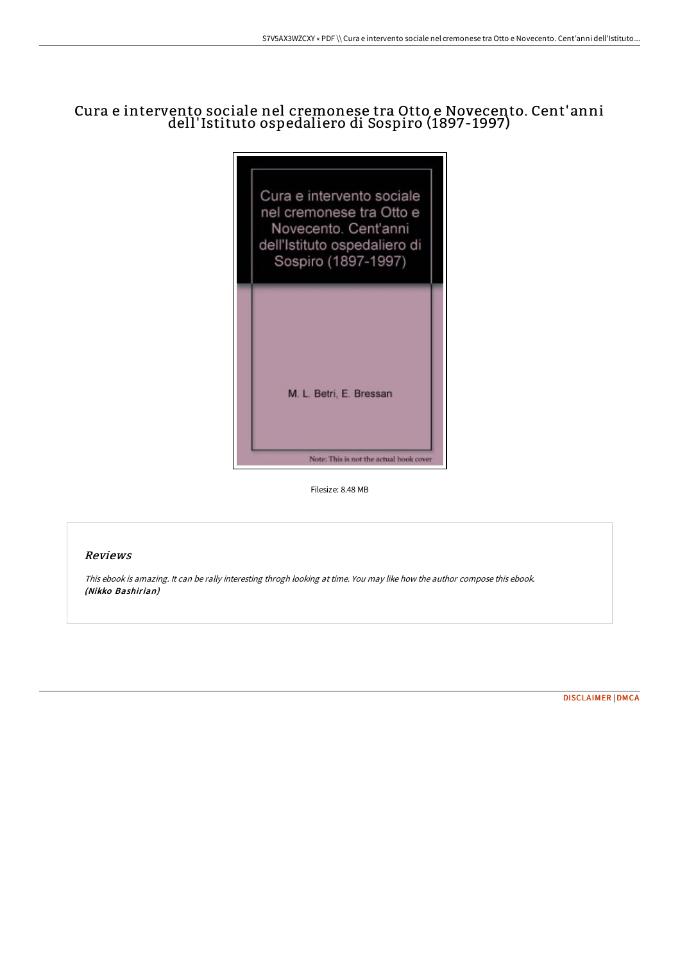# Cura e intervento sociale nel cremonese tra Otto e Novecento. Cent'anni dell'Istituto ospedaliero di Sospiro (1897-1997)



Filesize: 8.48 MB

## Reviews

This ebook is amazing. It can be rally interesting throgh looking at time. You may like how the author compose this ebook. (Nikko Bashirian)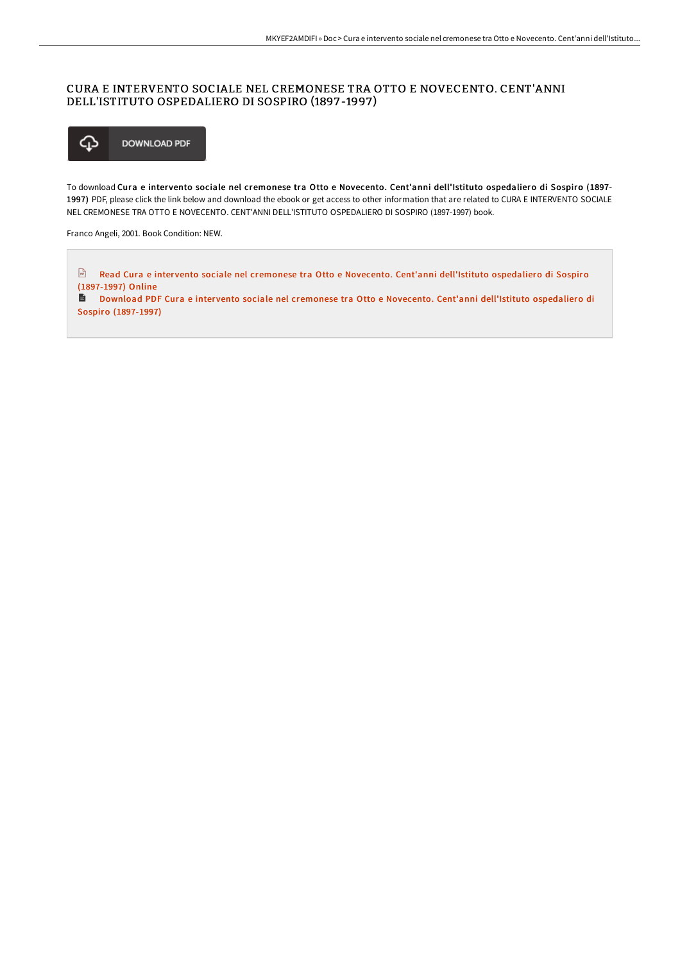### CURA E INTERVENTO SOCIALE NEL CREMONESE TRA OTTO E NOVECENTO. CENT'ANNI DELL'ISTITUTO OSPEDALIERO DI SOSPIRO (1897 -1997 )



To download Cura e intervento sociale nel cremonese tra Otto e Novecento. Cent'anni dell'Istituto ospedaliero di Sospiro (1897-1997) PDF, please click the link below and download the ebook or get access to other information that are related to CURA E INTERVENTO SOCIALE NEL CREMONESE TRA OTTO E NOVECENTO. CENT'ANNI DELL'ISTITUTO OSPEDALIERO DI SOSPIRO (1897-1997) book.

Franco Angeli, 2001. Book Condition: NEW.